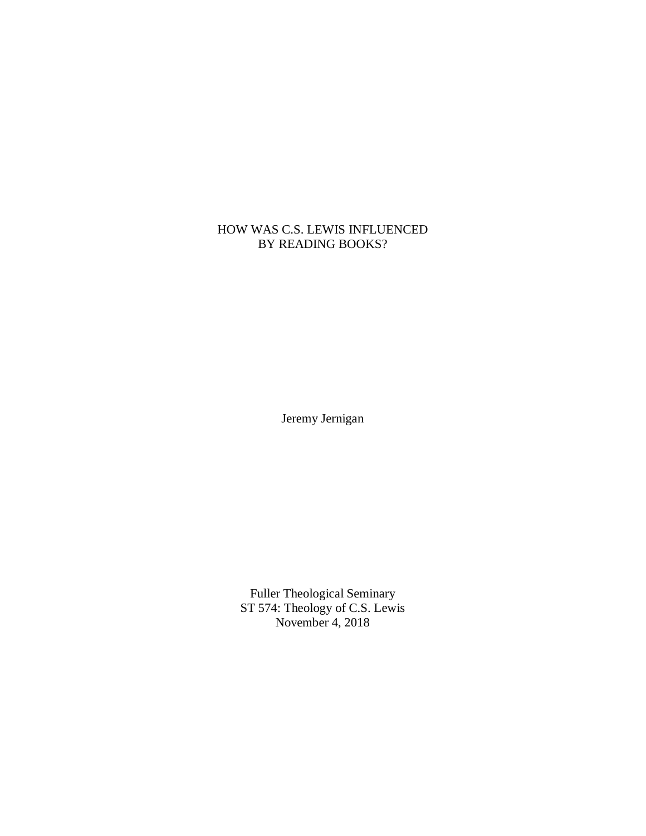## HOW WAS C.S. LEWIS INFLUENCED BY READING BOOKS?

Jeremy Jernigan

Fuller Theological Seminary ST 574: Theology of C.S. Lewis November 4, 2018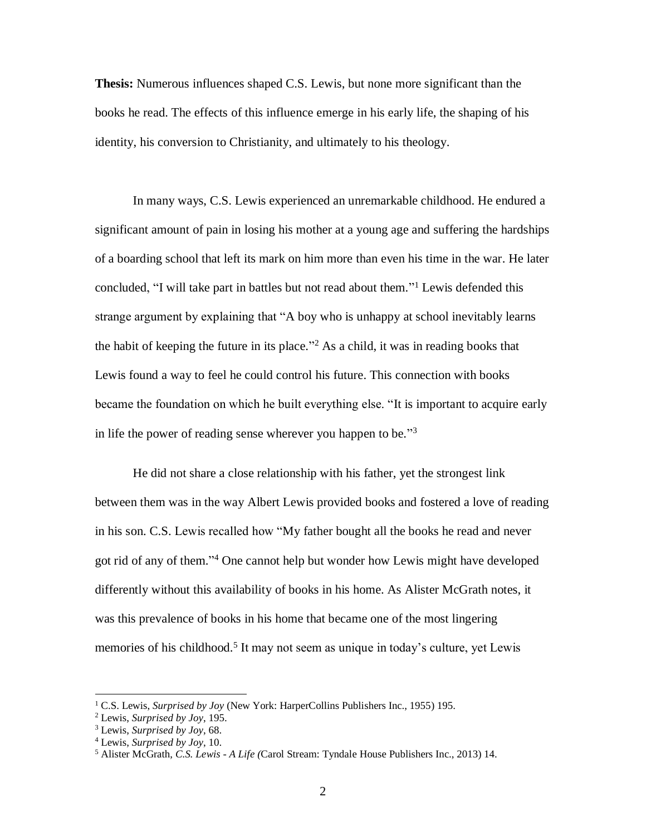**Thesis:** Numerous influences shaped C.S. Lewis, but none more significant than the books he read. The effects of this influence emerge in his early life, the shaping of his identity, his conversion to Christianity, and ultimately to his theology.

In many ways, C.S. Lewis experienced an unremarkable childhood. He endured a significant amount of pain in losing his mother at a young age and suffering the hardships of a boarding school that left its mark on him more than even his time in the war. He later concluded, "I will take part in battles but not read about them." <sup>1</sup> Lewis defended this strange argument by explaining that "A boy who is unhappy at school inevitably learns the habit of keeping the future in its place." <sup>2</sup> As a child, it was in reading books that Lewis found a way to feel he could control his future. This connection with books became the foundation on which he built everything else. "It is important to acquire early in life the power of reading sense wherever you happen to be."<sup>3</sup>

He did not share a close relationship with his father, yet the strongest link between them was in the way Albert Lewis provided books and fostered a love of reading in his son. C.S. Lewis recalled how "My father bought all the books he read and never got rid of any of them." <sup>4</sup> One cannot help but wonder how Lewis might have developed differently without this availability of books in his home. As Alister McGrath notes, it was this prevalence of books in his home that became one of the most lingering memories of his childhood.<sup>5</sup> It may not seem as unique in today's culture, yet Lewis

<sup>1</sup> C.S. Lewis, *Surprised by Joy* (New York: HarperCollins Publishers Inc., 1955) 195.

<sup>2</sup> Lewis, *Surprised by Joy*, 195.

<sup>3</sup> Lewis, *Surprised by Joy*, 68.

<sup>4</sup> Lewis, *Surprised by Joy*, 10.

<sup>5</sup> Alister McGrath, *C.S. Lewis - A Life (*Carol Stream: Tyndale House Publishers Inc., 2013) 14.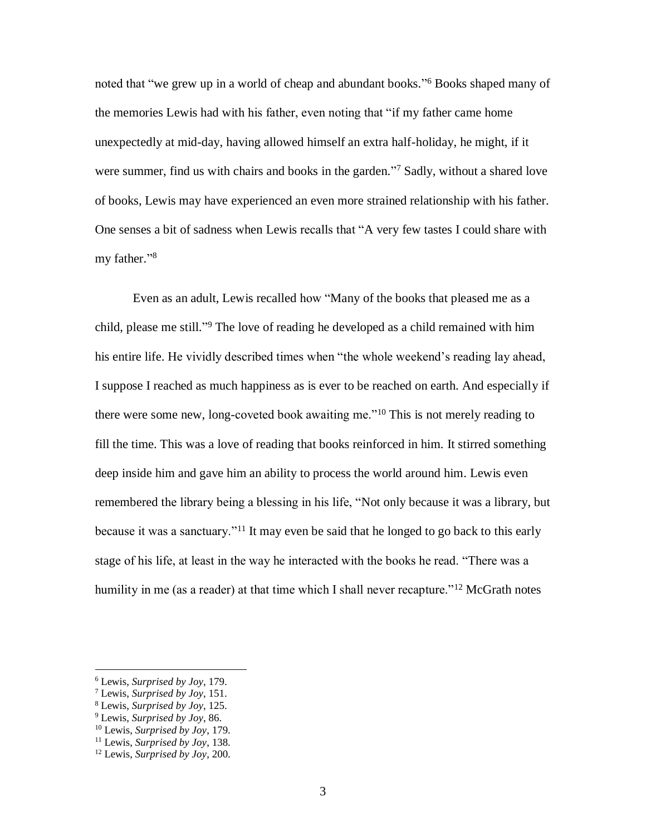noted that "we grew up in a world of cheap and abundant books." <sup>6</sup> Books shaped many of the memories Lewis had with his father, even noting that "if my father came home unexpectedly at mid-day, having allowed himself an extra half-holiday, he might, if it were summer, find us with chairs and books in the garden."<sup>7</sup> Sadly, without a shared love of books, Lewis may have experienced an even more strained relationship with his father. One senses a bit of sadness when Lewis recalls that "A very few tastes I could share with my father."<sup>8</sup>

Even as an adult, Lewis recalled how "Many of the books that pleased me as a child, please me still." <sup>9</sup> The love of reading he developed as a child remained with him his entire life. He vividly described times when "the whole weekend's reading lay ahead, I suppose I reached as much happiness as is ever to be reached on earth. And especially if there were some new, long-coveted book awaiting me."<sup>10</sup> This is not merely reading to fill the time. This was a love of reading that books reinforced in him. It stirred something deep inside him and gave him an ability to process the world around him. Lewis even remembered the library being a blessing in his life, "Not only because it was a library, but because it was a sanctuary.<sup>"11</sup> It may even be said that he longed to go back to this early stage of his life, at least in the way he interacted with the books he read. "There was a humility in me (as a reader) at that time which I shall never recapture."<sup>12</sup> McGrath notes

<sup>6</sup> Lewis, *Surprised by Joy*, 179.

<sup>7</sup> Lewis, *Surprised by Joy*, 151.

<sup>8</sup> Lewis, *Surprised by Joy*, 125.

<sup>9</sup> Lewis, *Surprised by Joy*, 86.

<sup>10</sup> Lewis, *Surprised by Joy*, 179.

<sup>11</sup> Lewis, *Surprised by Joy*, 138.

<sup>12</sup> Lewis, *Surprised by Joy*, 200.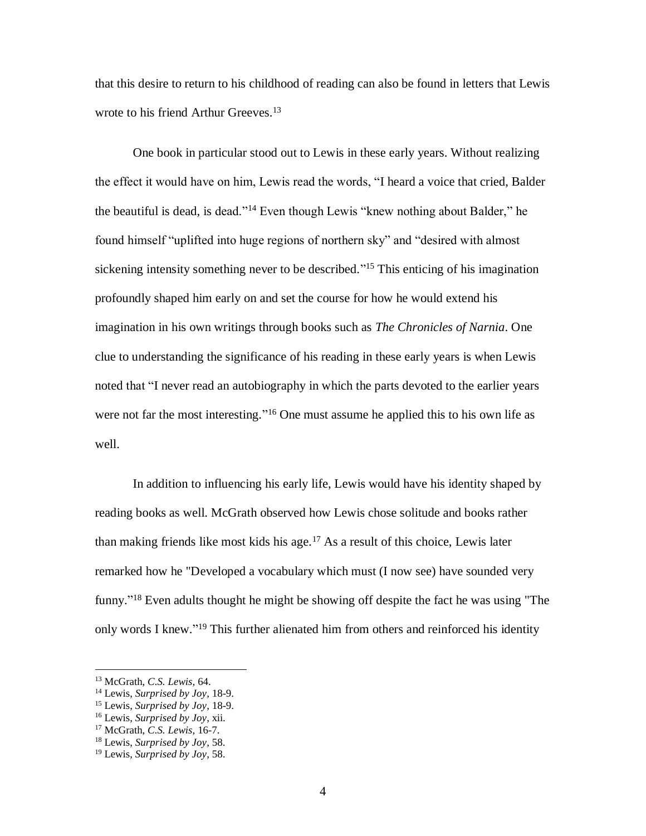that this desire to return to his childhood of reading can also be found in letters that Lewis wrote to his friend Arthur Greeves.<sup>13</sup>

One book in particular stood out to Lewis in these early years. Without realizing the effect it would have on him, Lewis read the words, "I heard a voice that cried, Balder the beautiful is dead, is dead."<sup>14</sup> Even though Lewis "knew nothing about Balder," he found himself "uplifted into huge regions of northern sky" and "desired with almost sickening intensity something never to be described."<sup>15</sup> This enticing of his imagination profoundly shaped him early on and set the course for how he would extend his imagination in his own writings through books such as *The Chronicles of Narnia*. One clue to understanding the significance of his reading in these early years is when Lewis noted that "I never read an autobiography in which the parts devoted to the earlier years were not far the most interesting."<sup>16</sup> One must assume he applied this to his own life as well.

In addition to influencing his early life, Lewis would have his identity shaped by reading books as well. McGrath observed how Lewis chose solitude and books rather than making friends like most kids his age.<sup>17</sup> As a result of this choice, Lewis later remarked how he "Developed a vocabulary which must (I now see) have sounded very funny."<sup>18</sup> Even adults thought he might be showing off despite the fact he was using "The only words I knew."<sup>19</sup> This further alienated him from others and reinforced his identity

<sup>13</sup> McGrath, *C.S. Lewis,* 64.

<sup>14</sup> Lewis, *Surprised by Joy*, 18-9.

<sup>15</sup> Lewis, *Surprised by Joy*, 18-9.

<sup>16</sup> Lewis, *Surprised by Joy*, xii.

<sup>17</sup> McGrath, *C.S. Lewis,* 16-7.

<sup>18</sup> Lewis, *Surprised by Joy*, 58.

<sup>19</sup> Lewis, *Surprised by Joy*, 58.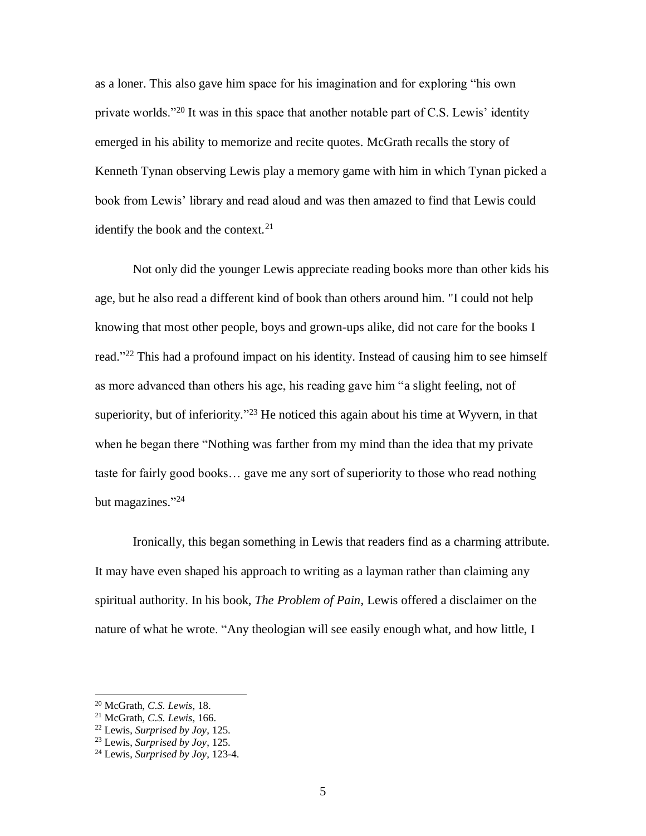as a loner. This also gave him space for his imagination and for exploring "his own private worlds."<sup>20</sup> It was in this space that another notable part of C.S. Lewis' identity emerged in his ability to memorize and recite quotes. McGrath recalls the story of Kenneth Tynan observing Lewis play a memory game with him in which Tynan picked a book from Lewis' library and read aloud and was then amazed to find that Lewis could identify the book and the context. $21$ 

Not only did the younger Lewis appreciate reading books more than other kids his age, but he also read a different kind of book than others around him. "I could not help knowing that most other people, boys and grown-ups alike, did not care for the books I read."<sup>22</sup> This had a profound impact on his identity. Instead of causing him to see himself as more advanced than others his age, his reading gave him "a slight feeling, not of superiority, but of inferiority."<sup>23</sup> He noticed this again about his time at Wyvern, in that when he began there "Nothing was farther from my mind than the idea that my private taste for fairly good books… gave me any sort of superiority to those who read nothing but magazines." 24

Ironically, this began something in Lewis that readers find as a charming attribute. It may have even shaped his approach to writing as a layman rather than claiming any spiritual authority. In his book, *The Problem of Pain*, Lewis offered a disclaimer on the nature of what he wrote. "Any theologian will see easily enough what, and how little, I

<sup>20</sup> McGrath, *C.S. Lewis,* 18.

<sup>21</sup> McGrath, *C.S. Lewis,* 166.

<sup>22</sup> Lewis, *Surprised by Joy*, 125.

<sup>23</sup> Lewis, *Surprised by Joy*, 125.

<sup>24</sup> Lewis, *Surprised by Joy*, 123-4.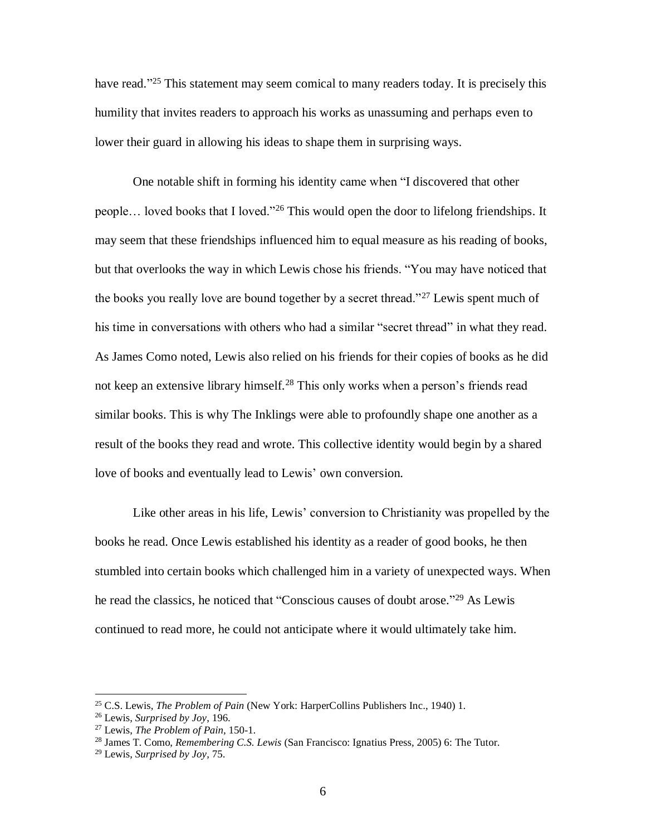have read."<sup>25</sup> This statement may seem comical to many readers today. It is precisely this humility that invites readers to approach his works as unassuming and perhaps even to lower their guard in allowing his ideas to shape them in surprising ways.

One notable shift in forming his identity came when "I discovered that other people… loved books that I loved."<sup>26</sup> This would open the door to lifelong friendships. It may seem that these friendships influenced him to equal measure as his reading of books, but that overlooks the way in which Lewis chose his friends. "You may have noticed that the books you really love are bound together by a secret thread."<sup>27</sup> Lewis spent much of his time in conversations with others who had a similar "secret thread" in what they read. As James Como noted, Lewis also relied on his friends for their copies of books as he did not keep an extensive library himself.<sup>28</sup> This only works when a person's friends read similar books. This is why The Inklings were able to profoundly shape one another as a result of the books they read and wrote. This collective identity would begin by a shared love of books and eventually lead to Lewis' own conversion.

Like other areas in his life, Lewis' conversion to Christianity was propelled by the books he read. Once Lewis established his identity as a reader of good books, he then stumbled into certain books which challenged him in a variety of unexpected ways. When he read the classics, he noticed that "Conscious causes of doubt arose." <sup>29</sup> As Lewis continued to read more, he could not anticipate where it would ultimately take him.

<sup>25</sup> C.S. Lewis, *The Problem of Pain* (New York: HarperCollins Publishers Inc., 1940) 1.

<sup>26</sup> Lewis, *Surprised by Joy*, 196.

<sup>27</sup> Lewis, *The Problem of Pain,* 150-1.

<sup>28</sup> James T. Como, *Remembering C.S. Lewis* (San Francisco: Ignatius Press, 2005) 6: The Tutor.

<sup>29</sup> Lewis, *Surprised by Joy*, 75.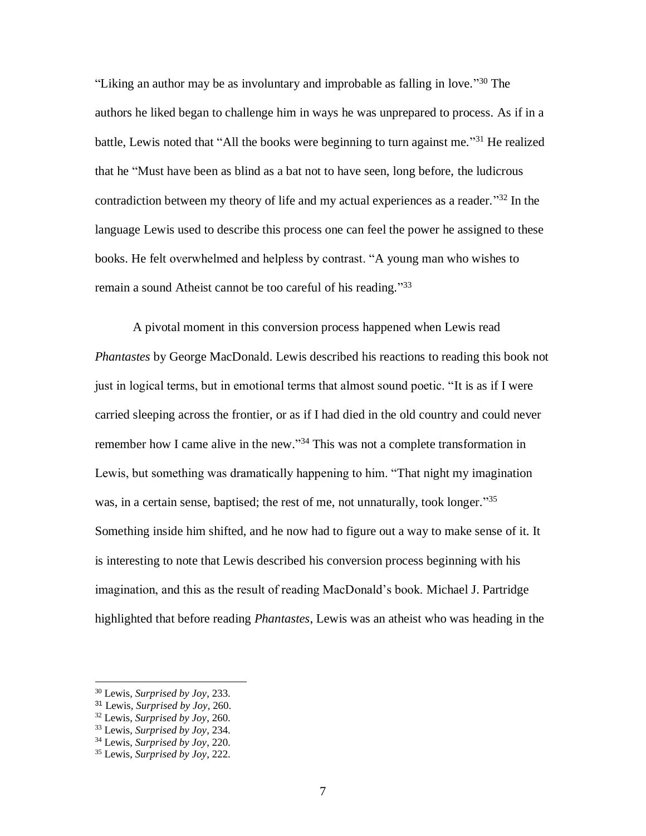"Liking an author may be as involuntary and improbable as falling in love."<sup>30</sup> The authors he liked began to challenge him in ways he was unprepared to process. As if in a battle, Lewis noted that "All the books were beginning to turn against me."<sup>31</sup> He realized that he "Must have been as blind as a bat not to have seen, long before, the ludicrous contradiction between my theory of life and my actual experiences as a reader."<sup>32</sup> In the language Lewis used to describe this process one can feel the power he assigned to these books. He felt overwhelmed and helpless by contrast. "A young man who wishes to remain a sound Atheist cannot be too careful of his reading."33

A pivotal moment in this conversion process happened when Lewis read *Phantastes* by George MacDonald. Lewis described his reactions to reading this book not just in logical terms, but in emotional terms that almost sound poetic. "It is as if I were carried sleeping across the frontier, or as if I had died in the old country and could never remember how I came alive in the new."<sup>34</sup> This was not a complete transformation in Lewis, but something was dramatically happening to him. "That night my imagination was, in a certain sense, baptised; the rest of me, not unnaturally, took longer."<sup>35</sup> Something inside him shifted, and he now had to figure out a way to make sense of it. It is interesting to note that Lewis described his conversion process beginning with his imagination, and this as the result of reading MacDonald's book. Michael J. Partridge highlighted that before reading *Phantastes*, Lewis was an atheist who was heading in the

l

<sup>30</sup> Lewis, *Surprised by Joy*, 233.

<sup>31</sup> Lewis, *Surprised by Joy*, 260.

<sup>32</sup> Lewis, *Surprised by Joy*, 260.

<sup>33</sup> Lewis, *Surprised by Joy*, 234.

<sup>34</sup> Lewis, *Surprised by Joy*, 220.

<sup>35</sup> Lewis, *Surprised by Joy*, 222.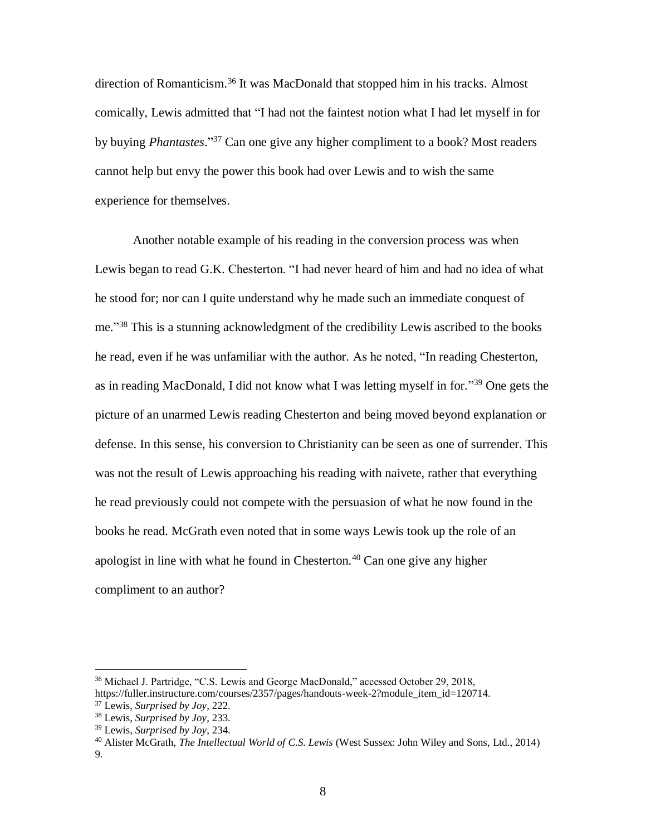direction of Romanticism.<sup>36</sup> It was MacDonald that stopped him in his tracks. Almost comically, Lewis admitted that "I had not the faintest notion what I had let myself in for by buying *Phantastes*." <sup>37</sup> Can one give any higher compliment to a book? Most readers cannot help but envy the power this book had over Lewis and to wish the same experience for themselves.

Another notable example of his reading in the conversion process was when Lewis began to read G.K. Chesterton. "I had never heard of him and had no idea of what he stood for; nor can I quite understand why he made such an immediate conquest of me." <sup>38</sup> This is a stunning acknowledgment of the credibility Lewis ascribed to the books he read, even if he was unfamiliar with the author. As he noted, "In reading Chesterton, as in reading MacDonald, I did not know what I was letting myself in for."<sup>39</sup> One gets the picture of an unarmed Lewis reading Chesterton and being moved beyond explanation or defense. In this sense, his conversion to Christianity can be seen as one of surrender. This was not the result of Lewis approaching his reading with naivete, rather that everything he read previously could not compete with the persuasion of what he now found in the books he read. McGrath even noted that in some ways Lewis took up the role of an apologist in line with what he found in Chesterton.<sup>40</sup> Can one give any higher compliment to an author?

<sup>36</sup> Michael J. Partridge, "C.S. Lewis and George MacDonald," accessed October 29, 2018, https://fuller.instructure.com/courses/2357/pages/handouts-week-2?module\_item\_id=120714.

<sup>37</sup> Lewis, *Surprised by Joy*, 222.

<sup>38</sup> Lewis, *Surprised by Joy*, 233.

<sup>39</sup> Lewis, *Surprised by Joy*, 234.

<sup>40</sup> Alister McGrath, *The Intellectual World of C.S. Lewis* (West Sussex: John Wiley and Sons, Ltd., 2014) 9.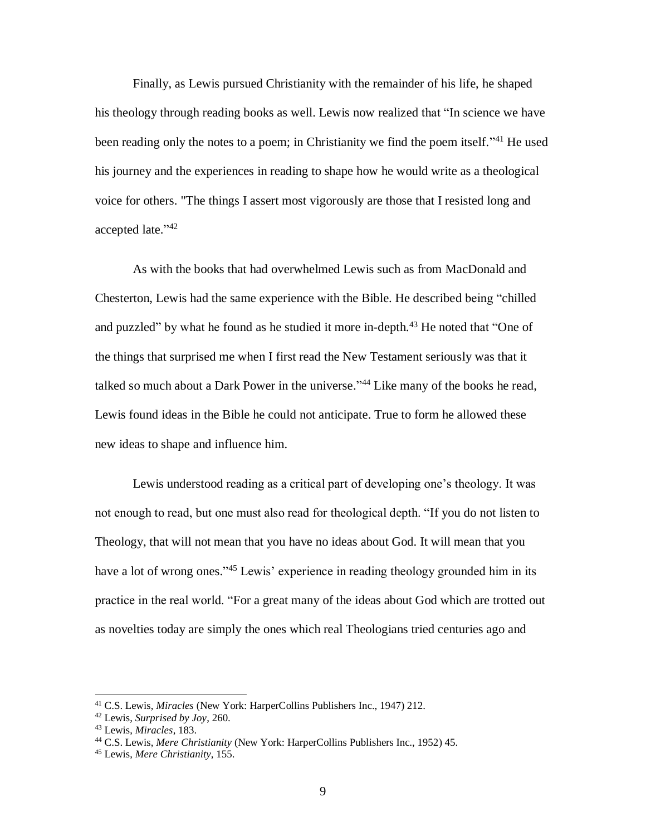Finally, as Lewis pursued Christianity with the remainder of his life, he shaped his theology through reading books as well. Lewis now realized that "In science we have been reading only the notes to a poem; in Christianity we find the poem itself."<sup>41</sup> He used his journey and the experiences in reading to shape how he would write as a theological voice for others. "The things I assert most vigorously are those that I resisted long and accepted late." 42

As with the books that had overwhelmed Lewis such as from MacDonald and Chesterton, Lewis had the same experience with the Bible. He described being "chilled and puzzled" by what he found as he studied it more in-depth.<sup>43</sup> He noted that "One of the things that surprised me when I first read the New Testament seriously was that it talked so much about a Dark Power in the universe."<sup>44</sup> Like many of the books he read, Lewis found ideas in the Bible he could not anticipate. True to form he allowed these new ideas to shape and influence him.

Lewis understood reading as a critical part of developing one's theology. It was not enough to read, but one must also read for theological depth. "If you do not listen to Theology, that will not mean that you have no ideas about God. It will mean that you have a lot of wrong ones."<sup>45</sup> Lewis' experience in reading theology grounded him in its practice in the real world. "For a great many of the ideas about God which are trotted out as novelties today are simply the ones which real Theologians tried centuries ago and

<sup>41</sup> C.S. Lewis, *Miracles* (New York: HarperCollins Publishers Inc., 1947) 212.

<sup>42</sup> Lewis, *Surprised by Joy*, 260.

<sup>43</sup> Lewis, *Miracles*, 183.

<sup>44</sup> C.S. Lewis, *Mere Christianity* (New York: HarperCollins Publishers Inc., 1952) 45.

<sup>45</sup> Lewis, *Mere Christianity*, 155.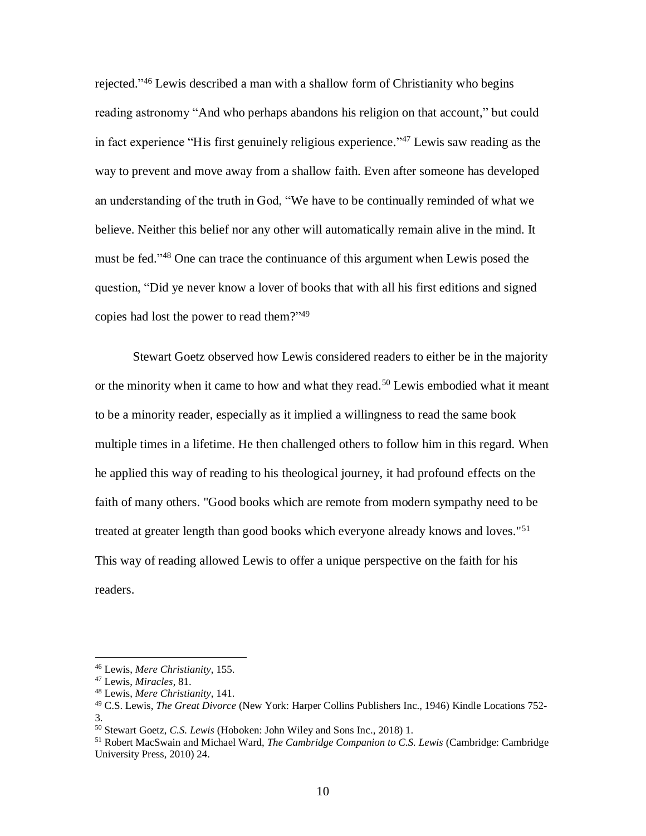rejected."<sup>46</sup> Lewis described a man with a shallow form of Christianity who begins reading astronomy "And who perhaps abandons his religion on that account," but could in fact experience "His first genuinely religious experience." <sup>47</sup> Lewis saw reading as the way to prevent and move away from a shallow faith. Even after someone has developed an understanding of the truth in God, "We have to be continually reminded of what we believe. Neither this belief nor any other will automatically remain alive in the mind. It must be fed." <sup>48</sup> One can trace the continuance of this argument when Lewis posed the question, "Did ye never know a lover of books that with all his first editions and signed copies had lost the power to read them?" 49

Stewart Goetz observed how Lewis considered readers to either be in the majority or the minority when it came to how and what they read.<sup>50</sup> Lewis embodied what it meant to be a minority reader, especially as it implied a willingness to read the same book multiple times in a lifetime. He then challenged others to follow him in this regard. When he applied this way of reading to his theological journey, it had profound effects on the faith of many others. "Good books which are remote from modern sympathy need to be treated at greater length than good books which everyone already knows and loves."<sup>51</sup> This way of reading allowed Lewis to offer a unique perspective on the faith for his readers.

<sup>46</sup> Lewis, *Mere Christianity*, 155.

<sup>47</sup> Lewis, *Miracles*, 81.

<sup>48</sup> Lewis, *Mere Christianity*, 141.

<sup>49</sup> C.S. Lewis, *The Great Divorce* (New York: Harper Collins Publishers Inc., 1946) Kindle Locations 752- 3.

<sup>50</sup> Stewart Goetz, *C.S. Lewis* (Hoboken: John Wiley and Sons Inc., 2018) 1.

<sup>51</sup> Robert MacSwain and Michael Ward, *The Cambridge Companion to C.S. Lewis* (Cambridge: Cambridge University Press, 2010) 24.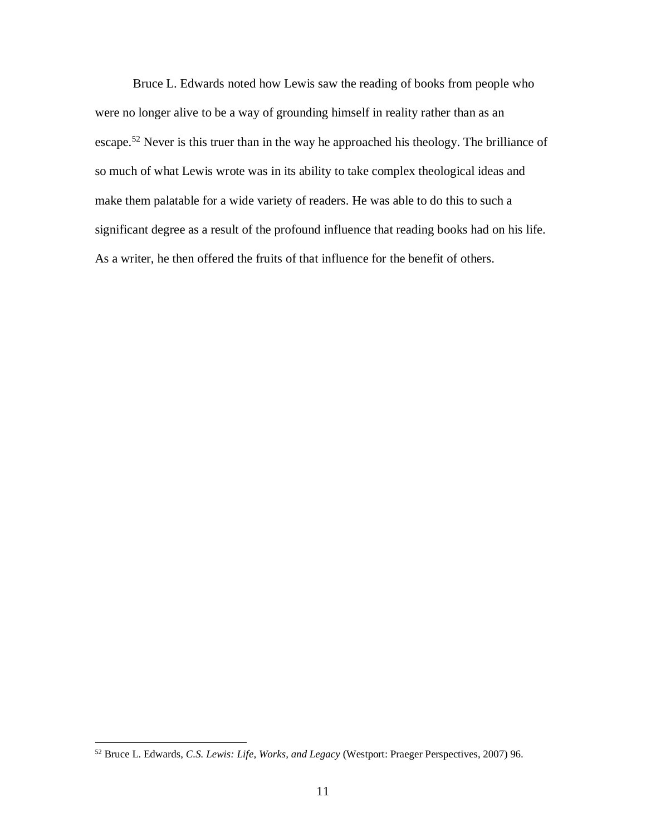Bruce L. Edwards noted how Lewis saw the reading of books from people who were no longer alive to be a way of grounding himself in reality rather than as an escape.<sup>52</sup> Never is this truer than in the way he approached his theology. The brilliance of so much of what Lewis wrote was in its ability to take complex theological ideas and make them palatable for a wide variety of readers. He was able to do this to such a significant degree as a result of the profound influence that reading books had on his life. As a writer, he then offered the fruits of that influence for the benefit of others.

<sup>52</sup> Bruce L. Edwards, *C.S. Lewis: Life, Works, and Legacy* (Westport: Praeger Perspectives, 2007) 96.